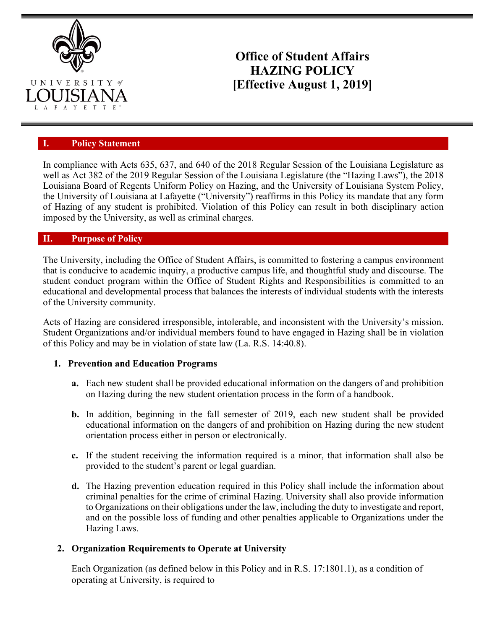

# **Office of Student Affairs HAZING POLICY [Effective August 1, 2019]**

#### **I. Policy Statement**

In compliance with Acts 635, 637, and 640 of the 2018 Regular Session of the Louisiana Legislature as well as Act 382 of the 2019 Regular Session of the Louisiana Legislature (the "Hazing Laws"), the 2018 Louisiana Board of Regents Uniform Policy on Hazing, and the University of Louisiana System Policy, the University of Louisiana at Lafayette ("University") reaffirms in this Policy its mandate that any form of Hazing of any student is prohibited. Violation of this Policy can result in both disciplinary action imposed by the University, as well as criminal charges.

#### **II. Purpose of Policy**

The University, including the Office of Student Affairs, is committed to fostering a campus environment that is conducive to academic inquiry, a productive campus life, and thoughtful study and discourse. The student conduct program within the Office of Student Rights and Responsibilities is committed to an educational and developmental process that balances the interests of individual students with the interests of the University community.

Acts of Hazing are considered irresponsible, intolerable, and inconsistent with the University's mission. Student Organizations and/or individual members found to have engaged in Hazing shall be in violation of this Policy and may be in violation of state law (La. R.S. 14:40.8).

#### **1. Prevention and Education Programs**

- **a.** Each new student shall be provided educational information on the dangers of and prohibition on Hazing during the new student orientation process in the form of a handbook.
- **b.** In addition, beginning in the fall semester of 2019, each new student shall be provided educational information on the dangers of and prohibition on Hazing during the new student orientation process either in person or electronically.
- **c.** If the student receiving the information required is a minor, that information shall also be provided to the student's parent or legal guardian.
- **d.** The Hazing prevention education required in this Policy shall include the information about criminal penalties for the crime of criminal Hazing. University shall also provide information to Organizations on their obligations under the law, including the duty to investigate and report, and on the possible loss of funding and other penalties applicable to Organizations under the Hazing Laws.

#### **2. Organization Requirements to Operate at University**

Each Organization (as defined below in this Policy and in R.S. 17:1801.1), as a condition of operating at University, is required to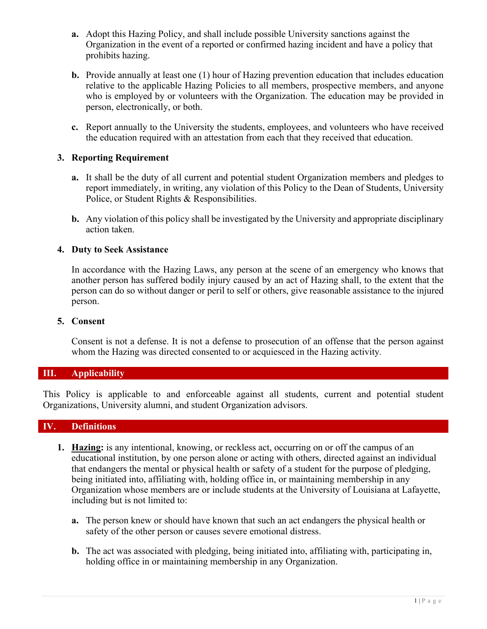- **a.** Adopt this Hazing Policy, and shall include possible University sanctions against the Organization in the event of a reported or confirmed hazing incident and have a policy that prohibits hazing.
- **b.** Provide annually at least one (1) hour of Hazing prevention education that includes education relative to the applicable Hazing Policies to all members, prospective members, and anyone who is employed by or volunteers with the Organization. The education may be provided in person, electronically, or both.
- **c.** Report annually to the University the students, employees, and volunteers who have received the education required with an attestation from each that they received that education.

#### **3. Reporting Requirement**

- **a.** It shall be the duty of all current and potential student Organization members and pledges to report immediately, in writing, any violation of this Policy to the Dean of Students, University Police, or Student Rights & Responsibilities.
- **b.** Any violation of this policy shall be investigated by the University and appropriate disciplinary action taken.

#### **4. Duty to Seek Assistance**

In accordance with the Hazing Laws, any person at the scene of an emergency who knows that another person has suffered bodily injury caused by an act of Hazing shall, to the extent that the person can do so without danger or peril to self or others, give reasonable assistance to the injured person.

#### **5. Consent**

Consent is not a defense. It is not a defense to prosecution of an offense that the person against whom the Hazing was directed consented to or acquiesced in the Hazing activity*.*

## **III. Applicability**

This Policy is applicable to and enforceable against all students, current and potential student Organizations, University alumni, and student Organization advisors.

## **IV. Definitions**

- **1. Hazing:** is any intentional, knowing, or reckless act, occurring on or off the campus of an educational institution, by one person alone or acting with others, directed against an individual that endangers the mental or physical health or safety of a student for the purpose of pledging, being initiated into, affiliating with, holding office in, or maintaining membership in any Organization whose members are or include students at the University of Louisiana at Lafayette, including but is not limited to:
	- **a.** The person knew or should have known that such an act endangers the physical health or safety of the other person or causes severe emotional distress.
	- **b.** The act was associated with pledging, being initiated into, affiliating with, participating in, holding office in or maintaining membership in any Organization.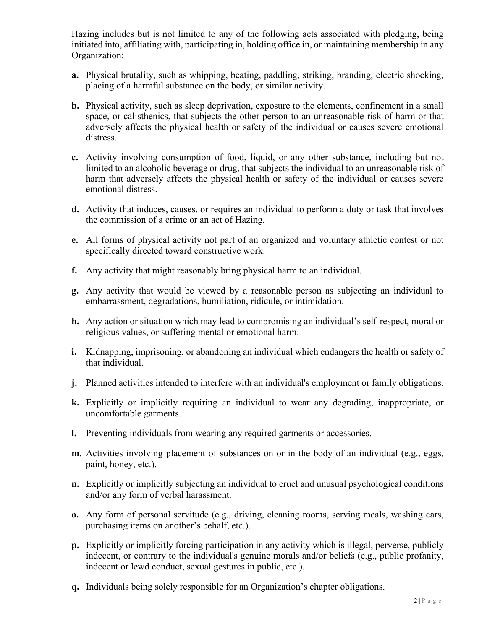Hazing includes but is not limited to any of the following acts associated with pledging, being initiated into, affiliating with, participating in, holding office in, or maintaining membership in any Organization:

- **a.** Physical brutality, such as whipping, beating, paddling, striking, branding, electric shocking, placing of a harmful substance on the body, or similar activity.
- **b.** Physical activity, such as sleep deprivation, exposure to the elements, confinement in a small space, or calisthenics, that subjects the other person to an unreasonable risk of harm or that adversely affects the physical health or safety of the individual or causes severe emotional distress.
- **c.** Activity involving consumption of food, liquid, or any other substance, including but not limited to an alcoholic beverage or drug, that subjects the individual to an unreasonable risk of harm that adversely affects the physical health or safety of the individual or causes severe emotional distress.
- **d.** Activity that induces, causes, or requires an individual to perform a duty or task that involves the commission of a crime or an act of Hazing.
- **e.** All forms of physical activity not part of an organized and voluntary athletic contest or not specifically directed toward constructive work.
- **f.** Any activity that might reasonably bring physical harm to an individual.
- **g.** Any activity that would be viewed by a reasonable person as subjecting an individual to embarrassment, degradations, humiliation, ridicule, or intimidation.
- **h.** Any action or situation which may lead to compromising an individual's self-respect, moral or religious values, or suffering mental or emotional harm.
- **i.** Kidnapping, imprisoning, or abandoning an individual which endangers the health or safety of that individual.
- **j.** Planned activities intended to interfere with an individual's employment or family obligations.
- **k.** Explicitly or implicitly requiring an individual to wear any degrading, inappropriate, or uncomfortable garments.
- **l.** Preventing individuals from wearing any required garments or accessories.
- **m.** Activities involving placement of substances on or in the body of an individual (e.g., eggs, paint, honey, etc.).
- **n.** Explicitly or implicitly subjecting an individual to cruel and unusual psychological conditions and/or any form of verbal harassment.
- **o.** Any form of personal servitude (e.g., driving, cleaning rooms, serving meals, washing cars, purchasing items on another's behalf, etc.).
- **p.** Explicitly or implicitly forcing participation in any activity which is illegal, perverse, publicly indecent, or contrary to the individual's genuine morals and/or beliefs (e.g., public profanity, indecent or lewd conduct, sexual gestures in public, etc.).
- **q.** Individuals being solely responsible for an Organization's chapter obligations.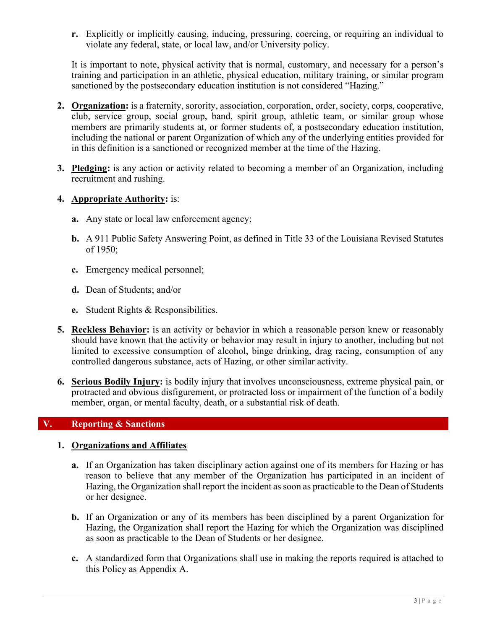**r.** Explicitly or implicitly causing, inducing, pressuring, coercing, or requiring an individual to violate any federal, state, or local law, and/or University policy.

It is important to note, physical activity that is normal, customary, and necessary for a person's training and participation in an athletic, physical education, military training, or similar program sanctioned by the postsecondary education institution is not considered "Hazing."

- **2. Organization:** is a fraternity, sorority, association, corporation, order, society, corps, cooperative, club, service group, social group, band, spirit group, athletic team, or similar group whose members are primarily students at, or former students of, a postsecondary education institution, including the national or parent Organization of which any of the underlying entities provided for in this definition is a sanctioned or recognized member at the time of the Hazing.
- **3. Pledging:** is any action or activity related to becoming a member of an Organization, including recruitment and rushing.
- **4. Appropriate Authority:** is:
	- **a.** Any state or local law enforcement agency;
	- **b.** A 911 Public Safety Answering Point, as defined in Title 33 of the Louisiana Revised Statutes of 1950;
	- **c.** Emergency medical personnel;
	- **d.** Dean of Students; and/or
	- **e.** Student Rights & Responsibilities.
- **5. Reckless Behavior:** is an activity or behavior in which a reasonable person knew or reasonably should have known that the activity or behavior may result in injury to another, including but not limited to excessive consumption of alcohol, binge drinking, drag racing, consumption of any controlled dangerous substance, acts of Hazing, or other similar activity.
- **6. Serious Bodily Injury:** is bodily injury that involves unconsciousness, extreme physical pain, or protracted and obvious disfigurement, or protracted loss or impairment of the function of a bodily member, organ, or mental faculty, death, or a substantial risk of death.

## **V. Reporting & Sanctions**

#### **1. Organizations and Affiliates**

- **a.** If an Organization has taken disciplinary action against one of its members for Hazing or has reason to believe that any member of the Organization has participated in an incident of Hazing, the Organization shall report the incident as soon as practicable to the Dean of Students or her designee.
- **b.** If an Organization or any of its members has been disciplined by a parent Organization for Hazing, the Organization shall report the Hazing for which the Organization was disciplined as soon as practicable to the Dean of Students or her designee.
- **c.** A standardized form that Organizations shall use in making the reports required is attached to this Policy as Appendix A.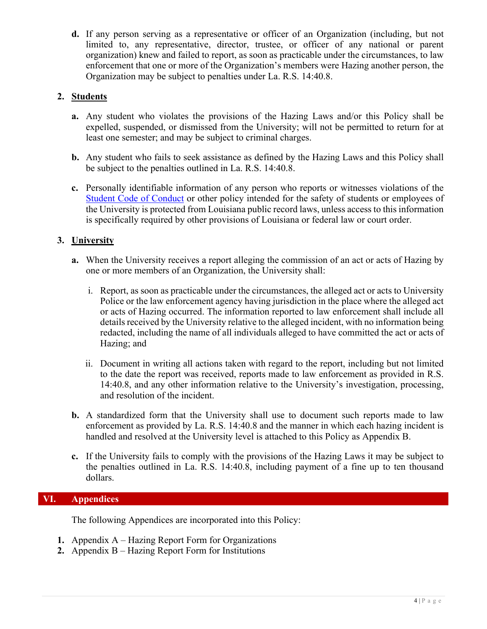**d.** If any person serving as a representative or officer of an Organization (including, but not limited to, any representative, director, trustee, or officer of any national or parent organization) knew and failed to report, as soon as practicable under the circumstances, to law enforcement that one or more of the Organization's members were Hazing another person, the Organization may be subject to penalties under La. R.S. 14:40.8.

## **2. Students**

- **a.** Any student who violates the provisions of the Hazing Laws and/or this Policy shall be expelled, suspended, or dismissed from the University; will not be permitted to return for at least one semester; and may be subject to criminal charges.
- **b.** Any student who fails to seek assistance as defined by the Hazing Laws and this Policy shall be subject to the penalties outlined in La. R.S. 14:40.8.
- **c.** Personally identifiable information of any person who reports or witnesses violations of the Student Code of Conduct or other policy intended for the safety of students or employees of the University is protected from Louisiana public record laws, unless access to this information is specifically required by other provisions of Louisiana or federal law or court order.

## **3. University**

- **a.** When the University receives a report alleging the commission of an act or acts of Hazing by one or more members of an Organization, the University shall:
	- i. Report, as soon as practicable under the circumstances, the alleged act or acts to University Police or the law enforcement agency having jurisdiction in the place where the alleged act or acts of Hazing occurred. The information reported to law enforcement shall include all details received by the University relative to the alleged incident, with no information being redacted, including the name of all individuals alleged to have committed the act or acts of Hazing; and
	- ii. Document in writing all actions taken with regard to the report, including but not limited to the date the report was received, reports made to law enforcement as provided in R.S. 14:40.8, and any other information relative to the University's investigation, processing, and resolution of the incident.
- **b.** A standardized form that the University shall use to document such reports made to law enforcement as provided by La. R.S. 14:40.8 and the manner in which each hazing incident is handled and resolved at the University level is attached to this Policy as Appendix B.
- **c.** If the University fails to comply with the provisions of the Hazing Laws it may be subject to the penalties outlined in La. R.S. 14:40.8, including payment of a fine up to ten thousand dollars.

## **VI. Appendices**

The following Appendices are incorporated into this Policy:

- **1.** Appendix A Hazing Report Form for Organizations
- **2.** Appendix B Hazing Report Form for Institutions